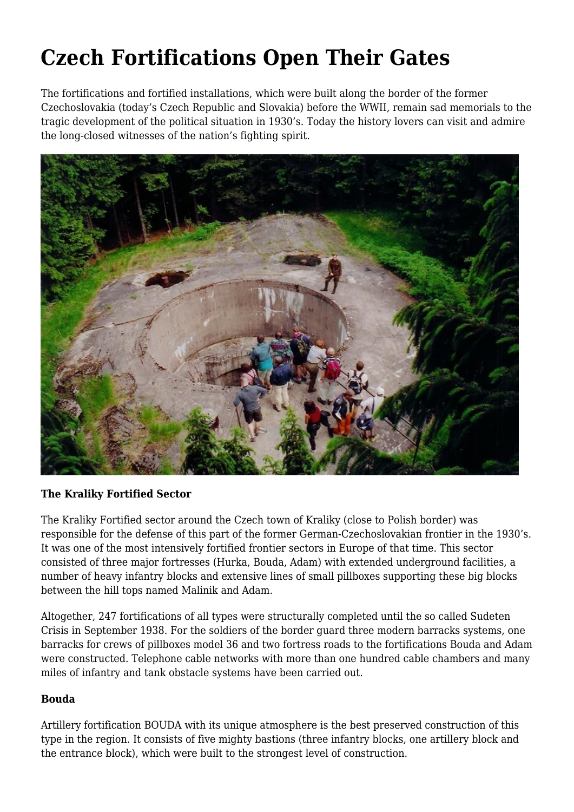# **Czech Fortifications Open Their Gates**

The fortifications and fortified installations, which were built along the border of the former Czechoslovakia (today's Czech Republic and Slovakia) before the WWII, remain sad memorials to the tragic development of the political situation in 1930's. Today the history lovers can visit and admire the long-closed witnesses of the nation's fighting spirit.



### **The Kraliky Fortified Sector**

The Kraliky Fortified sector around the Czech town of Kraliky (close to Polish border) was responsible for the defense of this part of the former German-Czechoslovakian frontier in the 1930's. It was one of the most intensively fortified frontier sectors in Europe of that time. This sector consisted of three major fortresses (Hurka, Bouda, Adam) with extended underground facilities, a number of heavy infantry blocks and extensive lines of small pillboxes supporting these big blocks between the hill tops named Malinik and Adam.

Altogether, 247 fortifications of all types were structurally completed until the so called Sudeten Crisis in September 1938. For the soldiers of the border guard three modern barracks systems, one barracks for crews of pillboxes model 36 and two fortress roads to the fortifications Bouda and Adam were constructed. Telephone cable networks with more than one hundred cable chambers and many miles of infantry and tank obstacle systems have been carried out.

### **Bouda**

Artillery fortification BOUDA with its unique atmosphere is the best preserved construction of this type in the region. It consists of five mighty bastions (three infantry blocks, one artillery block and the entrance block), which were built to the strongest level of construction.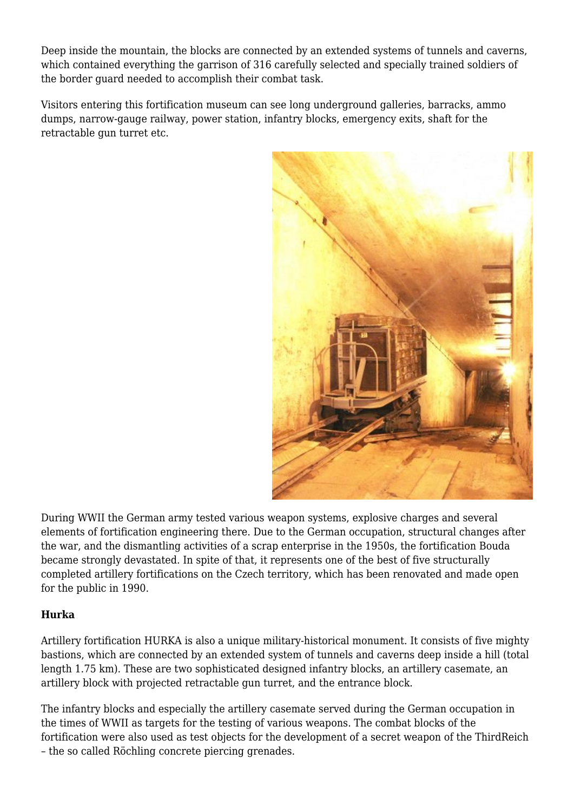Deep inside the mountain, the blocks are connected by an extended systems of tunnels and caverns, which contained everything the garrison of 316 carefully selected and specially trained soldiers of the border guard needed to accomplish their combat task.

Visitors entering this fortification museum can see long underground galleries, barracks, ammo dumps, narrow-gauge railway, power station, infantry blocks, emergency exits, shaft for the retractable gun turret etc.



During WWII the German army tested various weapon systems, explosive charges and several elements of fortification engineering there. Due to the German occupation, structural changes after the war, and the dismantling activities of a scrap enterprise in the 1950s, the fortification Bouda became strongly devastated. In spite of that, it represents one of the best of five structurally completed artillery fortifications on the Czech territory, which has been renovated and made open for the public in 1990.

# **Hurka**

Artillery fortification HURKA is also a unique military-historical monument. It consists of five mighty bastions, which are connected by an extended system of tunnels and caverns deep inside a hill (total length 1.75 km). These are two sophisticated designed infantry blocks, an artillery casemate, an artillery block with projected retractable gun turret, and the entrance block.

The infantry blocks and especially the artillery casemate served during the German occupation in the times of WWII as targets for the testing of various weapons. The combat blocks of the fortification were also used as test objects for the development of a secret weapon of the ThirdReich – the so called Röchling concrete piercing grenades.